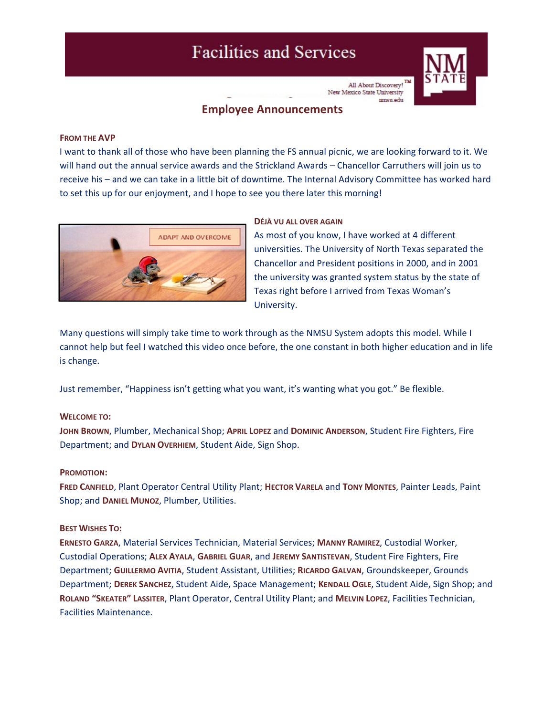# **Facilities and Services**



All About Discovery! New Mexico State University mmsu edu

# **Employee Announcements**

#### **FROM THE AVP**

I want to thank all of those who have been planning the FS annual picnic, we are looking forward to it. We will hand out the annual service awards and the Strickland Awards – Chancellor Carruthers will join us to receive his – and we can take in a little bit of downtime. The Internal Advisory Committee has worked hard to set this up for our enjoyment, and I hope to see you there later this morning!



#### **DÉJÀ VU ALL OVER AGAIN**

As most of you know, I have worked at 4 different universities. The University of North Texas separated the Chancellor and President positions in 2000, and in 2001 the university was granted system status by the state of Texas right before I arrived from Texas Woman's University.

Many questions will simply take time to work through as the NMSU System adopts this model. While I cannot help but feel I watched this video once before, the one constant in both higher education and in life is change.

Just remember, "Happiness isn't getting what you want, it's wanting what you got." Be flexible.

#### **WELCOME TO:**

**JOHN BROWN**, Plumber, Mechanical Shop; **APRIL LOPEZ** and **DOMINIC ANDERSON**, Student Fire Fighters, Fire Department; and **DYLAN OVERHIEM**, Student Aide, Sign Shop.

#### **PROMOTION:**

**FRED CANFIELD**, Plant Operator Central Utility Plant; **HECTOR VARELA** and **TONY MONTES**, Painter Leads, Paint Shop; and **DANIEL MUNOZ**, Plumber, Utilities.

#### **BEST WISHES TO:**

**ERNESTO GARZA**, Material Services Technician, Material Services; **MANNY RAMIREZ**, Custodial Worker, Custodial Operations; **ALEX AYALA**, **GABRIEL GUAR**, and **JEREMY SANTISTEVAN**, Student Fire Fighters, Fire Department; **GUILLERMO AVITIA**, Student Assistant, Utilities; **RICARDO GALVAN**, Groundskeeper, Grounds Department; **DEREK SANCHEZ**, Student Aide, Space Management; **KENDALL OGLE**, Student Aide, Sign Shop; and **ROLAND "SKEATER" LASSITER**, Plant Operator, Central Utility Plant; and **MELVIN LOPEZ**, Facilities Technician, Facilities Maintenance.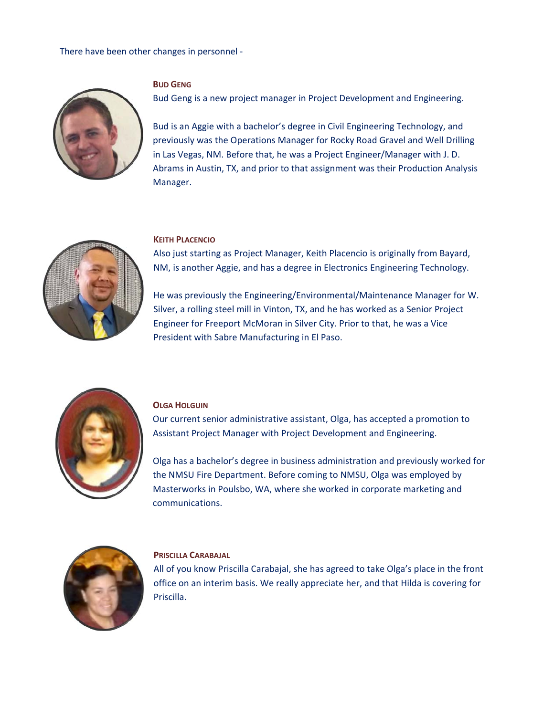#### There have been other changes in personnel ‐



## **BUD GENG**

Bud Geng is a new project manager in Project Development and Engineering.

Bud is an Aggie with a bachelor's degree in Civil Engineering Technology, and previously was the Operations Manager for Rocky Road Gravel and Well Drilling in Las Vegas, NM. Before that, he was a Project Engineer/Manager with J. D. Abrams in Austin, TX, and prior to that assignment was their Production Analysis Manager.



#### **KEITH PLACENCIO**

Also just starting as Project Manager, Keith Placencio is originally from Bayard, NM, is another Aggie, and has a degree in Electronics Engineering Technology.

He was previously the Engineering/Environmental/Maintenance Manager for W. Silver, a rolling steel mill in Vinton, TX, and he has worked as a Senior Project Engineer for Freeport McMoran in Silver City. Prior to that, he was a Vice President with Sabre Manufacturing in El Paso.



#### **OLGA HOLGUIN**

Our current senior administrative assistant, Olga, has accepted a promotion to Assistant Project Manager with Project Development and Engineering.

Olga has a bachelor's degree in business administration and previously worked for the NMSU Fire Department. Before coming to NMSU, Olga was employed by Masterworks in Poulsbo, WA, where she worked in corporate marketing and communications.



#### **PRISCILLA CARABAJAL**

All of you know Priscilla Carabajal, she has agreed to take Olga's place in the front office on an interim basis. We really appreciate her, and that Hilda is covering for Priscilla.